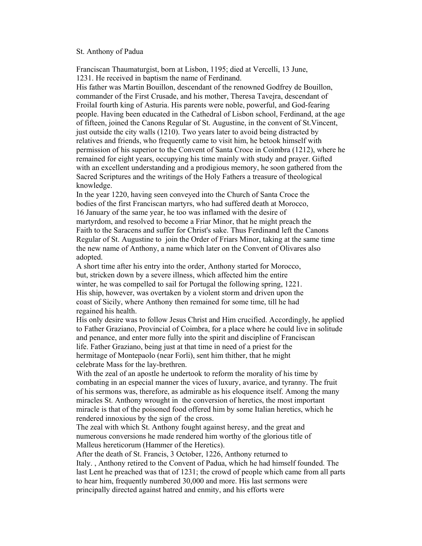## St. Anthony of Padua

Franciscan Thaumaturgist, born at Lisbon, 1195; died at Vercelli, 13 June, 1231. He received in baptism the name of Ferdinand.

His father was Martin Bouillon, descendant of the renowned Godfrey de Bouillon, commander of the First Crusade, and his mother, Theresa Tavejra, descendant of FroilaI fourth king of Asturia. His parents were noble, powerful, and God-fearing people. Having been educated in the Cathedral of Lisbon school, Ferdinand, at the age of fifteen, joined the Canons Regular of St. Augustine, in the convent of St.Vincent, just outside the city walls (1210). Two years later to avoid being distracted by relatives and friends, who frequently came to visit him, he betook himself with permission of his superior to the Convent of Santa Croce in Coimbra (1212), where he remained for eight years, occupying his time mainly with study and prayer. Gifted with an excellent understanding and a prodigious memory, he soon gathered from the Sacred Scriptures and the writings of the Holy Fathers a treasure of theological knowledge.

In the year 1220, having seen conveyed into the Church of Santa Croce the bodies of the first Franciscan martyrs, who had suffered death at Morocco, 16 January of the same year, he too was inflamed with the desire of martyrdom, and resolved to become a Friar Minor, that he might preach the Faith to the Saracens and suffer for Christ's sake. Thus Ferdinand left the Canons Regular of St. Augustine to join the Order of Friars Minor, taking at the same time the new name of Anthony, a name which later on the Convent of Olivares also adopted.

A short time after his entry into the order, Anthony started for Morocco, but, stricken down by a severe illness, which affected him the entire winter, he was compelled to sail for Portugal the following spring, 1221. His ship, however, was overtaken by a violent storm and driven upon the coast of Sicily, where Anthony then remained for some time, till he had regained his health.

His only desire was to follow Jesus Christ and Him crucified. Accordingly, he applied to Father Graziano, Provincial of Coimbra, for a place where he could live in solitude and penance, and enter more fully into the spirit and discipline of Franciscan life. Father Graziano, being just at that time in need of a priest for the hermitage of Montepaolo (near Forli), sent him thither, that he might celebrate Mass for the lay-brethren.

With the zeal of an apostle he undertook to reform the morality of his time by combating in an especial manner the vices of luxury, avarice, and tyranny. The fruit of his sermons was, therefore, as admirable as his eloquence itself. Among the many miracles St. Anthony wrought in the conversion of heretics, the most important miracle is that of the poisoned food offered him by some Italian heretics, which he rendered innoxious by the sign of the cross.

The zeal with which St. Anthony fought against heresy, and the great and numerous conversions he made rendered him worthy of the glorious title of Malleus hereticorum (Hammer of the Heretics).

After the death of St. Francis, 3 October, 1226, Anthony returned to Italy. , Anthony retired to the Convent of Padua, which he had himself founded. The last Lent he preached was that of 1231; the crowd of people which came from all parts to hear him, frequently numbered 30,000 and more. His last sermons were principally directed against hatred and enmity, and his efforts were